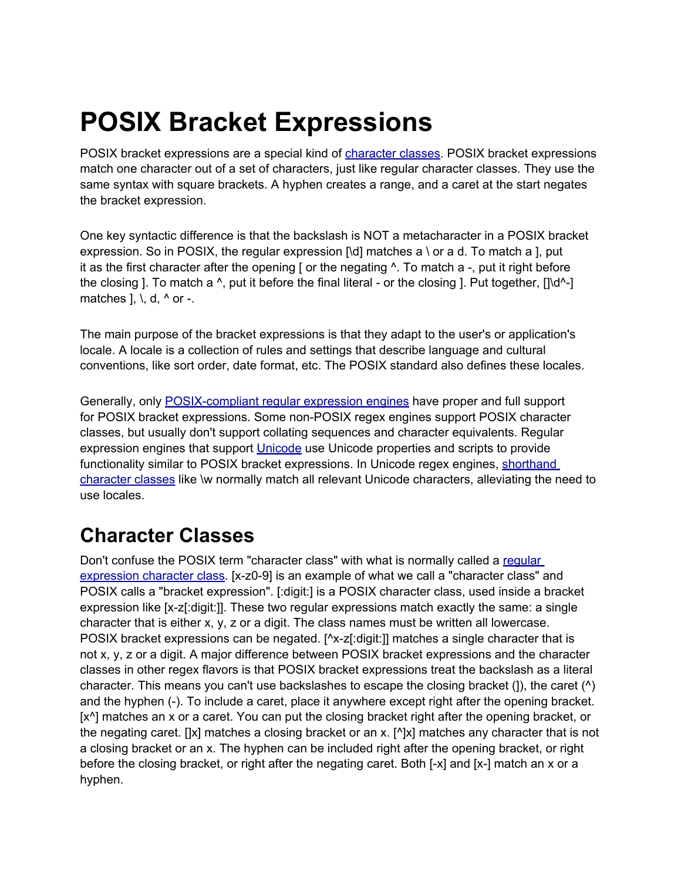## **POSIX Bracket Expressions**

POSIX bracket expressions are a special kind of [character](http://www.google.com/url?q=http%3A%2F%2Fwww.regular-expressions.info%2Fcharclass.html&sa=D&sntz=1&usg=AFQjCNGmJsI6lauY4sEM_IixBPSeIg87cQ) classes. POSIX bracket expressions match one character out of a set of characters, just like regular character classes. They use the same syntax with square brackets. A hyphen creates a range, and a caret at the start negates the bracket expression.

One key syntactic difference is that the backslash is NOT a metacharacter in a POSIX bracket expression. So in POSIX, the regular expression  $\left[\text{Id}\right]$  matches a \ or a d. To match a ], put it as the first character after the opening  $\lceil$  or the negating  $\land$ . To match a -, put it right before the closing ]. To match a  $\wedge$ , put it before the final literal - or the closing ]. Put together,  $\left[\right]$ matches  $\vert$ ,  $\vert$ ,  $\vert$ ,  $\vert$ ,  $\vert$ ,  $\vert$ ,  $\vert$ ,  $\vert$ , or -.

The main purpose of the bracket expressions is that they adapt to the user's or application's locale. A locale is a collection of rules and settings that describe language and cultural conventions, like sort order, date format, etc. The POSIX standard also defines these locales.

Generally, only [POSIX-compliant](http://www.google.com/url?q=http%3A%2F%2Fwww.regular-expressions.info%2Fposix.html&sa=D&sntz=1&usg=AFQjCNGlvZqv4sg5KRaJ3T7sPnFZ7SKNrw) regular expression engines have proper and full support for POSIX bracket expressions. Some non-POSIX regex engines support POSIX character classes, but usually don't support collating sequences and character equivalents. Regular expression engines that support [Unicode](http://www.google.com/url?q=http%3A%2F%2Fwww.regular-expressions.info%2Funicode.html&sa=D&sntz=1&usg=AFQjCNHBFzpcqPU4i5g-jR5_mDghs3lw4g) use Unicode propertie[s](http://www.google.com/url?q=http%3A%2F%2Fwww.regular-expressions.info%2Funicode.html&sa=D&sntz=1&usg=AFQjCNHBFzpcqPU4i5g-jR5_mDghs3lw4g) and scripts to provide functionality similar to POSIX bracket expressions. In Unicode regex engines, [shorthand](http://www.google.com/url?q=http%3A%2F%2Fwww.regular-expressions.info%2Fcharclass.html%23shorthand&sa=D&sntz=1&usg=AFQjCNHpF86iE25fyK8F7BZWvo1xh9Ho-g) [character](http://www.google.com/url?q=http%3A%2F%2Fwww.regular-expressions.info%2Fcharclass.html%23shorthand&sa=D&sntz=1&usg=AFQjCNHpF86iE25fyK8F7BZWvo1xh9Ho-g) classes like \w normally match all relevant Unicode characters, alleviating the need to use locales.

## **Character Classes**

Don't confuse the POSIX term "character class" with what is normally called a [regular](http://www.google.com/url?q=http%3A%2F%2Fwww.regular-expressions.info%2Fcharclass.html&sa=D&sntz=1&usg=AFQjCNGmJsI6lauY4sEM_IixBPSeIg87cQ) [expression](http://www.google.com/url?q=http%3A%2F%2Fwww.regular-expressions.info%2Fcharclass.html&sa=D&sntz=1&usg=AFQjCNGmJsI6lauY4sEM_IixBPSeIg87cQ) character class. [x-z0-9] is an example of what we call a "character class" and POSIX calls a "bracket expression". [:digit:] is a POSIX character class, used inside a bracket expression like [x-z[:digit:]]. These two regular expressions match exactly the same: a single character that is either x, y, z or a digit. The class names must be written all lowercase. POSIX bracket expressions can be negated. [^x-z[:digit:]] matches a single character that is not x, y, z or a digit. A major difference between POSIX bracket expressions and the character classes in other regex flavors is that POSIX bracket expressions treat the backslash as a literal character. This means you can't use backslashes to escape the closing bracket  $(1)$ , the caret  $(2)$ and the hyphen (-). To include a caret, place it anywhere except right after the opening bracket. [x^] matches an x or a caret. You can put the closing bracket right after the opening bracket, or the negating caret. [ $\vert x \vert$  matches a closing bracket or an x. [ $\vert x \vert$ ] matches any character that is not a closing bracket or an x. The hyphen can be included right after the opening bracket, or right before the closing bracket, or right after the negating caret. Both [-x] and [x-] match an x or a hyphen.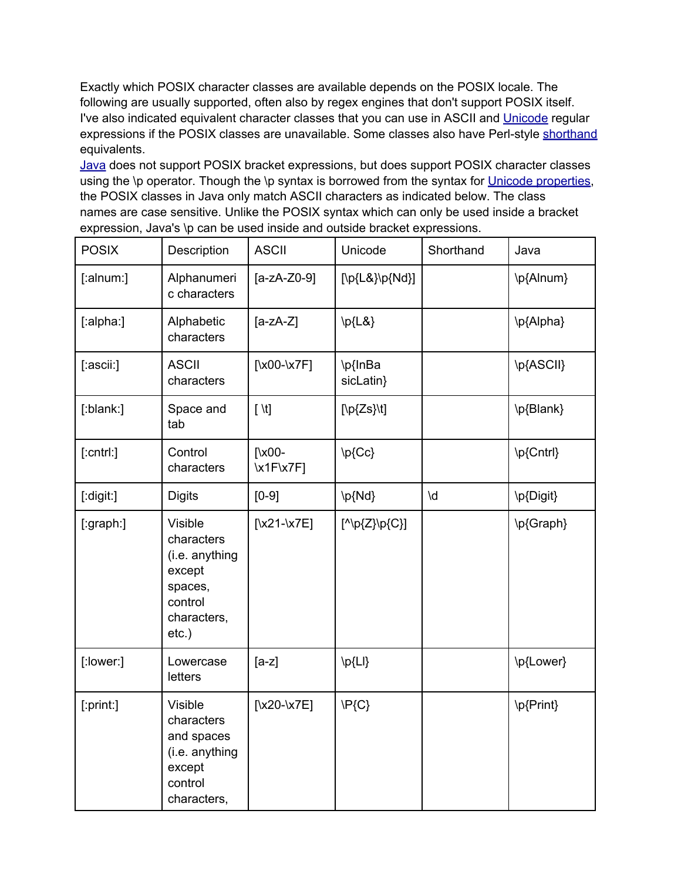Exactly which POSIX character classes are available depends on the POSIX locale. The following are usually supported, often also by regex engines that don't support POSIX itself. I've also indicated equivalent character classes that you can use in ASCII and [Unicode](http://www.google.com/url?q=http%3A%2F%2Fwww.regular-expressions.info%2Funicode.html&sa=D&sntz=1&usg=AFQjCNHBFzpcqPU4i5g-jR5_mDghs3lw4g) regular expressions if the POSIX classes are unavailable. Some classes also have Perl-style [shorthand](http://www.google.com/url?q=http%3A%2F%2Fwww.regular-expressions.info%2Fcharclass.html%23shorthand&sa=D&sntz=1&usg=AFQjCNHpF86iE25fyK8F7BZWvo1xh9Ho-g) equivalents.

[Java](http://www.google.com/url?q=http%3A%2F%2Fwww.regular-expressions.info%2Fjava.html&sa=D&sntz=1&usg=AFQjCNE4KgQAO97ZUxrje68kwV4pWi278Q) does not support POSIX bracket expressions, but does support POSIX character classes using the \p operator. Though the \p syntax is borrowed from the syntax for Unicode [properties](http://www.google.com/url?q=http%3A%2F%2Fwww.regular-expressions.info%2Funicode.html&sa=D&sntz=1&usg=AFQjCNHBFzpcqPU4i5g-jR5_mDghs3lw4g), the POSIX classes in Java only match ASCII characters as indicated below. The class names are case sensitive. Unlike the POSIX syntax which can only be used inside a bracket expression, Java's \p can be used inside and outside bracket expressions.

| <b>POSIX</b>    | Description                                                                                        | <b>ASCII</b>                 | Unicode                    | Shorthand | Java      |
|-----------------|----------------------------------------------------------------------------------------------------|------------------------------|----------------------------|-----------|-----------|
| [:alnum:]       | Alphanumeri<br>c characters                                                                        | $[a-zA-Z0-9]$                | [\p{L&}\p{Nd}]             |           | \p{Alnum} |
| [:alpha:]       | Alphabetic<br>characters                                                                           | $[a-zA-Z]$                   | $\pmb{\downarrow}$ p{L&}   |           | \p{Alpha} |
| [:ascii:]       | <b>ASCII</b><br>characters                                                                         | [\ $x00-x7F$ ]               | \p{InBa<br>sicLatin}       |           | \p{ASCII} |
| [:blank:]       | Space and<br>tab                                                                                   | $[ \n\mathcal{N}]$           | $[\pmb{\mathcal{L}}$ s}\t] |           | \p{Blank} |
| $[$ :cntrl: $]$ | Control<br>characters                                                                              | $\sqrt{\times 00}$<br>x1Fx7F | \p{Cc}                     |           | \p{Cntrl} |
| [:digit:]       | <b>Digits</b>                                                                                      | $[0-9]$                      | \p{Nd}                     | \d        | \p{Digit} |
| [:graph:]       | Visible<br>characters<br>(i.e. anything<br>except<br>spaces,<br>control<br>characters,<br>$etc.$ ) | [ $x21-x7E$ ]                | $[^{\wedge}P{Z}^{p}C]$     |           | \p{Graph} |
| [:lower:]       | Lowercase<br>letters                                                                               | $[a-z]$                      | \p{Ll}                     |           | \p{Lower} |
| [:print:]       | <b>Visible</b><br>characters<br>and spaces<br>(i.e. anything<br>except<br>control<br>characters,   | [ $x20-x7E$ ]                | $\P{C}$                    |           | \p{Print} |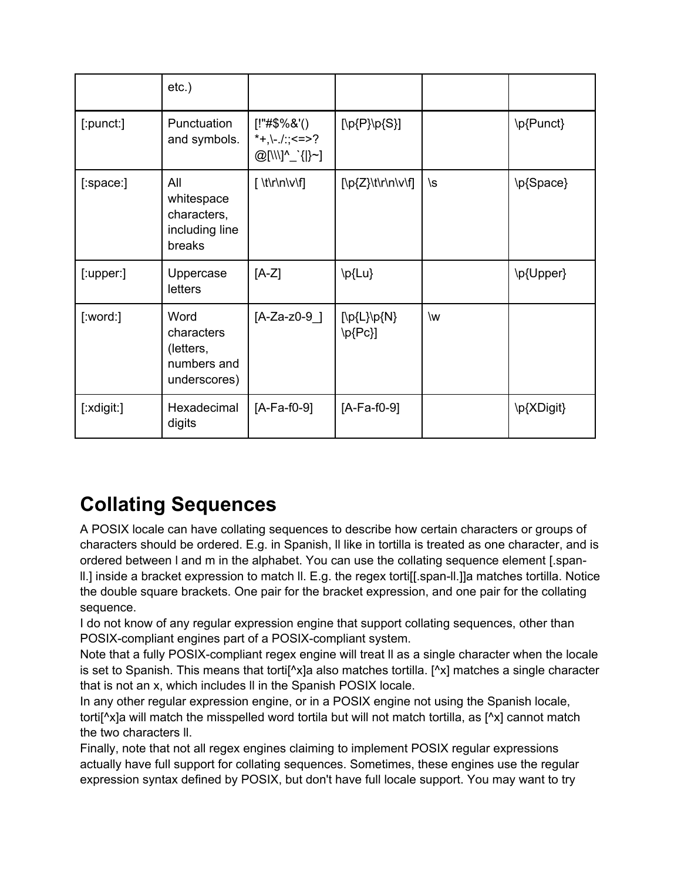|            | $etc.$ )                                                       |                                                  |                         |    |            |
|------------|----------------------------------------------------------------|--------------------------------------------------|-------------------------|----|------------|
| [:punct:]  | Punctuation<br>and symbols.                                    | $[!"#\$%&(')$<br>*+,\-./:;<=>?<br>@[\\\]^_`{ }~] | [\p{P}\p{S}]            |    | \p{Punct}  |
| [:space:]  | All<br>whitespace<br>characters,<br>including line<br>breaks   |                                                  | [\p{Z}\t\r\n\v\f]       | \s | \p{Space}  |
| [:upper.]  | Uppercase<br>letters                                           | $[A-Z]$                                          | \p{Lu}                  |    | \p{Upper}  |
| [:word:]   | Word<br>characters<br>(letters,<br>numbers and<br>underscores) | $[A-Za-z0-9]$                                    | [\p{L}\p{N}<br>$\{Pc\}$ | \w |            |
| [:xdigit:] | Hexadecimal<br>digits                                          | $[A-Fa-f0-9]$                                    | $[A-Fa-f0-9]$           |    | \p{XDigit} |

## **Collating Sequences**

A POSIX locale can have collating sequences to describe how certain characters or groups of characters should be ordered. E.g. in Spanish, ll like in tortilla is treated as one character, and is ordered between l and m in the alphabet. You can use the collating sequence element [.spanll.] inside a bracket expression to match ll. E.g. the regex torti[[.span-ll.]]a matches tortilla. Notice the double square brackets. One pair for the bracket expression, and one pair for the collating sequence.

I do not know of any regular expression engine that support collating sequences, other than POSIX-compliant engines part of a POSIX-compliant system.

Note that a fully POSIX-compliant regex engine will treat ll as a single character when the locale is set to Spanish. This means that tortif $\Delta x$  also matches tortilla. [ $\Delta x$ ] matches a single character that is not an x, which includes ll in the Spanish POSIX locale.

In any other regular expression engine, or in a POSIX engine not using the Spanish locale, torti[^x]a will match the misspelled word tortila but will not match tortilla, as [^x] cannot match the two characters ll.

Finally, note that not all regex engines claiming to implement POSIX regular expressions actually have full support for collating sequences. Sometimes, these engines use the regular expression syntax defined by POSIX, but don't have full locale support. You may want to try